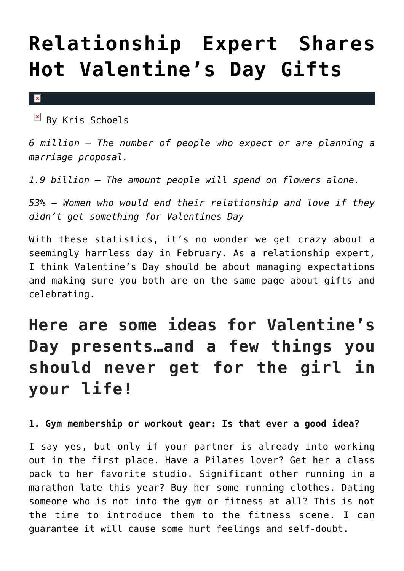# **[Relationship Expert Shares](https://cupidspulse.com/86284/relationship-expert-hot-valentines-day-gifts/) [Hot Valentine's Day Gifts](https://cupidspulse.com/86284/relationship-expert-hot-valentines-day-gifts/)**

 $\mathbf{x}$ 

 $\overline{B}$  By Kris Schoels

*6 million — The number of people who expect or are planning a marriage proposal.*

*1.9 billion — The amount people will spend on flowers alone.*

*53% — Women who would end their relationship and love if they didn't get something for Valentines Day*

With these statistics, it's no wonder we get crazy about a seemingly harmless day in February. As a relationship expert, I think Valentine's Day should be about managing expectations and making sure you both are on the same page about gifts and celebrating.

## **Here are some ideas for Valentine's Day presents…and a few things you should never get for the girl in your life!**

**1. Gym membership or workout gear: Is that ever a good idea?**

I say yes, but only if your partner is already into working out in the first place. Have a Pilates lover? Get her a class pack to her favorite studio. Significant other running in a marathon late this year? Buy her some running clothes. Dating someone who is not into the gym or fitness at all? This is not the time to introduce them to the fitness scene. I can guarantee it will cause some hurt feelings and self-doubt.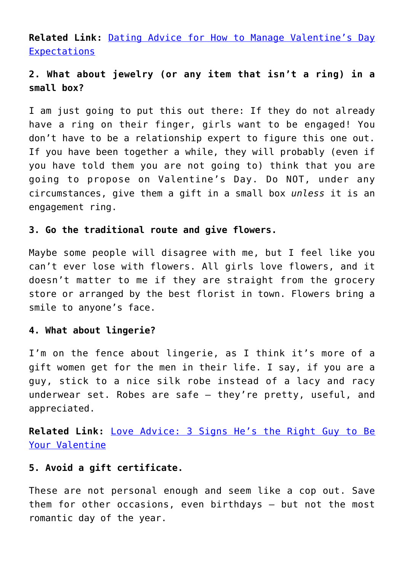**Related Link:** [Dating Advice for How to Manage Valentine's Day](http://cupidspulse.com/86282/expert-dating-advice-valentines-day-expectations-relationships-and-love/) [Expectations](http://cupidspulse.com/86282/expert-dating-advice-valentines-day-expectations-relationships-and-love/)

### **2. What about jewelry (or any item that isn't a ring) in a small box?**

I am just going to put this out there: If they do not already have a ring on their finger, girls want to be engaged! You don't have to be a relationship expert to figure this one out. If you have been together a while, they will probably (even if you have told them you are not going to) think that you are going to propose on Valentine's Day. Do NOT, under any circumstances, give them a gift in a small box *unless* it is an engagement ring.

#### **3. Go the traditional route and give flowers.**

Maybe some people will disagree with me, but I feel like you can't ever lose with flowers. All girls love flowers, and it doesn't matter to me if they are straight from the grocery store or arranged by the best florist in town. Flowers bring a smile to anyone's face.

#### **4. What about lingerie?**

I'm on the fence about lingerie, as I think it's more of a gift women get for the men in their life. I say, if you are a guy, stick to a nice silk robe instead of a lacy and racy underwear set. Robes are safe — they're pretty, useful, and appreciated.

**Related Link:** [Love Advice: 3 Signs He's the Right Guy to Be](http://cupidspulse.com/44665/signs-hes-the-right-guy-to-be-your-valentines-date/) [Your Valentine](http://cupidspulse.com/44665/signs-hes-the-right-guy-to-be-your-valentines-date/)

#### **5. Avoid a gift certificate.**

These are not personal enough and seem like a cop out. Save them for other occasions, even birthdays — but not the most romantic day of the year.